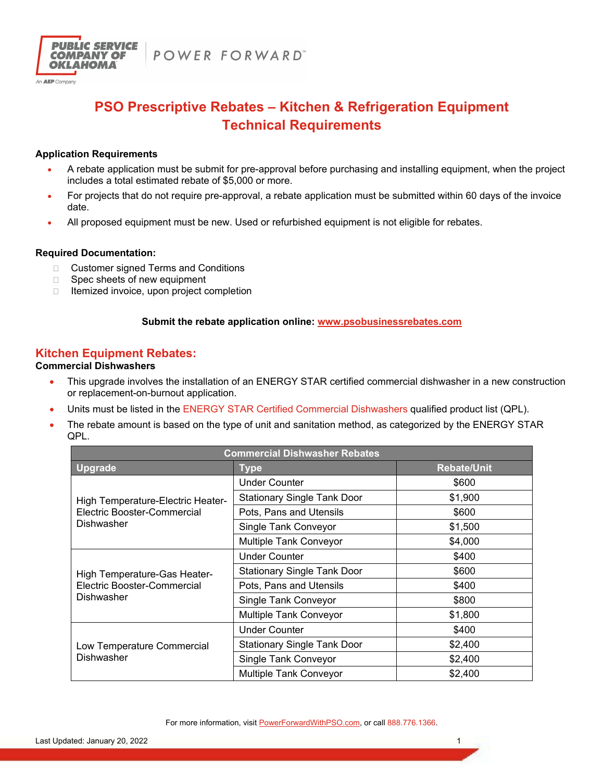

# **PSO Prescriptive Rebates – Kitchen & Refrigeration Equipment Technical Requirements**

# **Application Requirements**

- A rebate application must be submit for pre-approval before purchasing and installing equipment, when the project includes a total estimated rebate of \$5,000 or more.
- For projects that do not require pre-approval, a rebate application must be submitted within 60 days of the invoice date.
- All proposed equipment must be new. Used or refurbished equipment is not eligible for rebates.

# **Required Documentation:**

- □ Customer signed Terms and Conditions
- $\Box$  Spec sheets of new equipment
- $\Box$  Itemized invoice, upon project completion

# **Submit the rebate application online: www.psobusinessrebates.com**

# **Kitchen Equipment Rebates:**

# **Commercial Dishwashers**

- This upgrade involves the installation of an ENERGY STAR certified commercial dishwasher in a new construction or replacement-on-burnout application.
- Units must be listed in the ENERGY STAR Certified Commercial Dishwashers qualified product list (QPL).
- The rebate amount is based on the type of unit and sanitation method, as categorized by the ENERGY STAR QPL.

| <b>Commercial Dishwasher Rebates</b>                                                  |                                    |                    |
|---------------------------------------------------------------------------------------|------------------------------------|--------------------|
| <b>Upgrade</b>                                                                        | <b>Type</b>                        | <b>Rebate/Unit</b> |
| High Temperature-Electric Heater-<br>Electric Booster-Commercial<br><b>Dishwasher</b> | <b>Under Counter</b>               | \$600              |
|                                                                                       | <b>Stationary Single Tank Door</b> | \$1,900            |
|                                                                                       | Pots, Pans and Utensils            | \$600              |
|                                                                                       | Single Tank Conveyor               | \$1,500            |
|                                                                                       | Multiple Tank Conveyor             | \$4,000            |
| High Temperature-Gas Heater-<br>Electric Booster-Commercial<br><b>Dishwasher</b>      | <b>Under Counter</b>               | \$400              |
|                                                                                       | <b>Stationary Single Tank Door</b> | \$600              |
|                                                                                       | Pots, Pans and Utensils            | \$400              |
|                                                                                       | Single Tank Conveyor               | \$800              |
|                                                                                       | Multiple Tank Conveyor             | \$1,800            |
| Low Temperature Commercial<br><b>Dishwasher</b>                                       | <b>Under Counter</b>               | \$400              |
|                                                                                       | <b>Stationary Single Tank Door</b> | \$2,400            |
|                                                                                       | Single Tank Conveyor               | \$2,400            |
|                                                                                       | Multiple Tank Conveyor             | \$2,400            |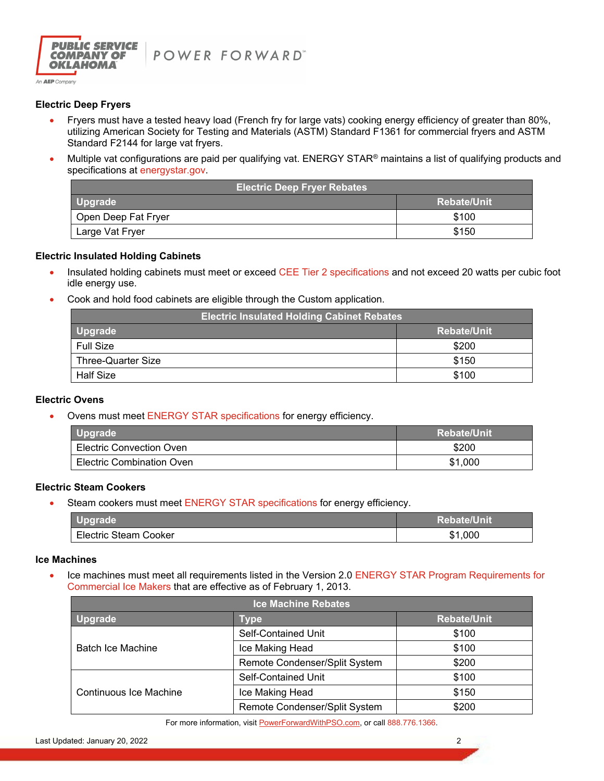

# **Electric Deep Fryers**

- Fryers must have a tested heavy load (French fry for large vats) cooking energy efficiency of greater than 80%, utilizing American Society for Testing and Materials (ASTM) Standard F1361 for commercial fryers and ASTM Standard F2144 for large vat fryers.
- Multiple vat configurations are paid per qualifying vat. ENERGY STAR® maintains a list of qualifying products and specifications at energystar.gov.

| <b>Electric Deep Fryer Rebates</b> |                    |  |
|------------------------------------|--------------------|--|
| <b>Upgrade</b>                     | <b>Rebate/Unit</b> |  |
| Open Deep Fat Fryer                | \$100              |  |
| Large Vat Fryer                    | \$150              |  |

### **Electric Insulated Holding Cabinets**

- Insulated holding cabinets must meet or exceed CEE Tier 2 specifications and not exceed 20 watts per cubic foot idle energy use.
- Cook and hold food cabinets are eligible through the Custom application.

| <b>Electric Insulated Holding Cabinet Rebates</b> |                    |  |
|---------------------------------------------------|--------------------|--|
| <b>Upgrade</b>                                    | <b>Rebate/Unit</b> |  |
| <b>Full Size</b>                                  | \$200              |  |
| Three-Quarter Size                                | \$150              |  |
| <b>Half Size</b>                                  | \$100              |  |

## **Electric Ovens**

• Ovens must meet ENERGY STAR specifications for energy efficiency.

| <b>Upgrade</b>                  | <b>Rebate/Unit</b> |
|---------------------------------|--------------------|
| <b>Electric Convection Oven</b> | \$200              |
| Electric Combination Oven       | \$1,000            |

## **Electric Steam Cookers**

• Steam cookers must meet ENERGY STAR specifications for energy efficiency.

| <b>Upgrade</b>        | <b>Rebate/Unit</b> |
|-----------------------|--------------------|
| Electric Steam Cooker | ,000               |

#### **Ice Machines**

Ice machines must meet all requirements listed in the Version 2.0 ENERGY STAR Program Requirements for Commercial Ice Makers that are effective as of February 1, 2013.

| <b>Ice Machine Rebates</b>    |                               |                    |
|-------------------------------|-------------------------------|--------------------|
| <b>Upgrade</b>                | Type                          | <b>Rebate/Unit</b> |
| <b>Batch Ice Machine</b>      | <b>Self-Contained Unit</b>    | \$100              |
|                               | Ice Making Head               | \$100              |
|                               | Remote Condenser/Split System | \$200              |
| <b>Continuous Ice Machine</b> | <b>Self-Contained Unit</b>    | \$100              |
|                               | Ice Making Head               | \$150              |
|                               | Remote Condenser/Split System | \$200              |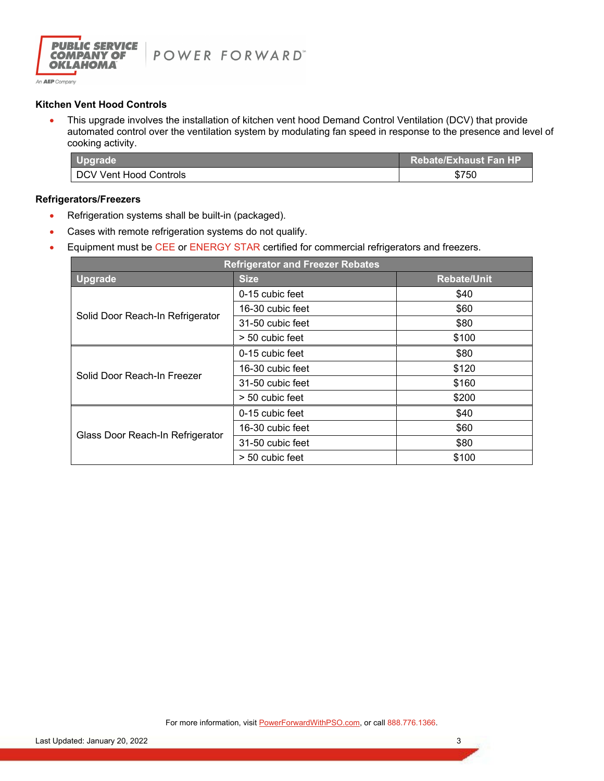

# **Kitchen Vent Hood Controls**

• This upgrade involves the installation of kitchen vent hood Demand Control Ventilation (DCV) that provide automated control over the ventilation system by modulating fan speed in response to the presence and level of cooking activity.

| Upgrade                | <b>Rebate/Exhaust Fan HP</b> |
|------------------------|------------------------------|
| DCV Vent Hood Controls | \$750                        |

### **Refrigerators/Freezers**

- Refrigeration systems shall be built-in (packaged).
- Cases with remote refrigeration systems do not qualify.
- **Equipment must be CEE or ENERGY STAR certified for commercial refrigerators and freezers.**

| <b>Refrigerator and Freezer Rebates</b> |                  |                    |
|-----------------------------------------|------------------|--------------------|
| <b>Upgrade</b>                          | <b>Size</b>      | <b>Rebate/Unit</b> |
| Solid Door Reach-In Refrigerator        | 0-15 cubic feet  | \$40               |
|                                         | 16-30 cubic feet | \$60               |
|                                         | 31-50 cubic feet | \$80               |
|                                         | > 50 cubic feet  | \$100              |
| Solid Door Reach-In Freezer             | 0-15 cubic feet  | \$80               |
|                                         | 16-30 cubic feet | \$120              |
|                                         | 31-50 cubic feet | \$160              |
|                                         | > 50 cubic feet  | \$200              |
| Glass Door Reach-In Refrigerator        | 0-15 cubic feet  | \$40               |
|                                         | 16-30 cubic feet | \$60               |
|                                         | 31-50 cubic feet | \$80               |
|                                         | > 50 cubic feet  | \$100              |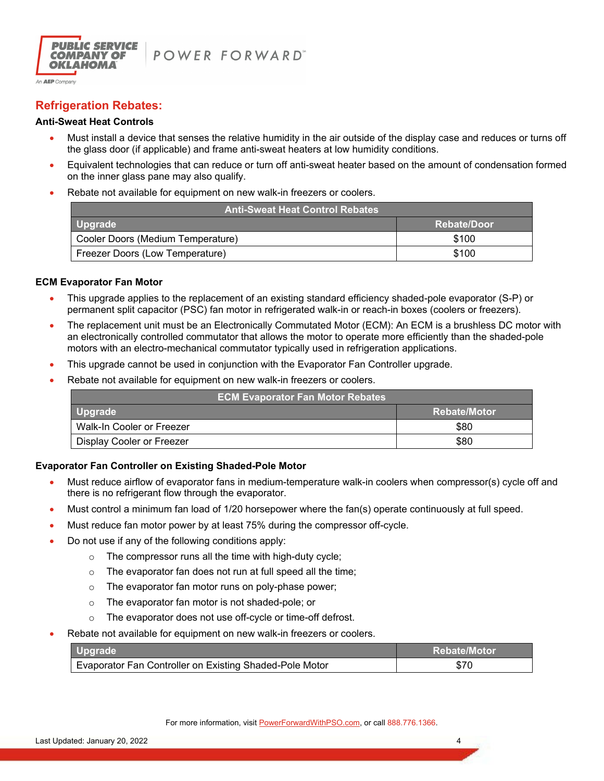

# **Refrigeration Rebates:**

# **Anti-Sweat Heat Controls**

- Must install a device that senses the relative humidity in the air outside of the display case and reduces or turns off the glass door (if applicable) and frame anti-sweat heaters at low humidity conditions.
- Equivalent technologies that can reduce or turn off anti-sweat heater based on the amount of condensation formed on the inner glass pane may also qualify.
- Rebate not available for equipment on new walk-in freezers or coolers.

| <b>Anti-Sweat Heat Control Rebates</b> |             |  |
|----------------------------------------|-------------|--|
| <b>Upgrade</b>                         | Rebate/Door |  |
| Cooler Doors (Medium Temperature)      | \$100       |  |
| Freezer Doors (Low Temperature)        | \$100       |  |

## **ECM Evaporator Fan Motor**

- This upgrade applies to the replacement of an existing standard efficiency shaded-pole evaporator (S-P) or permanent split capacitor (PSC) fan motor in refrigerated walk-in or reach-in boxes (coolers or freezers).
- The replacement unit must be an Electronically Commutated Motor (ECM): An ECM is a brushless DC motor with an electronically controlled commutator that allows the motor to operate more efficiently than the shaded-pole motors with an electro-mechanical commutator typically used in refrigeration applications.
- This upgrade cannot be used in conjunction with the Evaporator Fan Controller upgrade.
- Rebate not available for equipment on new walk-in freezers or coolers.

| <b>ECM Evaporator Fan Motor Rebates</b> |                     |
|-----------------------------------------|---------------------|
| <b>Upgrade</b>                          | <b>Rebate/Motor</b> |
| Walk-In Cooler or Freezer               | \$80                |
| <b>Display Cooler or Freezer</b>        | \$80                |

## **Evaporator Fan Controller on Existing Shaded-Pole Motor**

- Must reduce airflow of evaporator fans in medium-temperature walk-in coolers when compressor(s) cycle off and there is no refrigerant flow through the evaporator.
- Must control a minimum fan load of 1/20 horsepower where the fan(s) operate continuously at full speed.
- Must reduce fan motor power by at least 75% during the compressor off-cycle.
- Do not use if any of the following conditions apply:
	- $\circ$  The compressor runs all the time with high-duty cycle;
	- o The evaporator fan does not run at full speed all the time;
	- o The evaporator fan motor runs on poly-phase power;
	- o The evaporator fan motor is not shaded-pole; or
	- o The evaporator does not use off-cycle or time-off defrost.
- Rebate not available for equipment on new walk-in freezers or coolers.

| Upgrade                                                 | / Rebate/Motor |
|---------------------------------------------------------|----------------|
| Evaporator Fan Controller on Existing Shaded-Pole Motor | \$70           |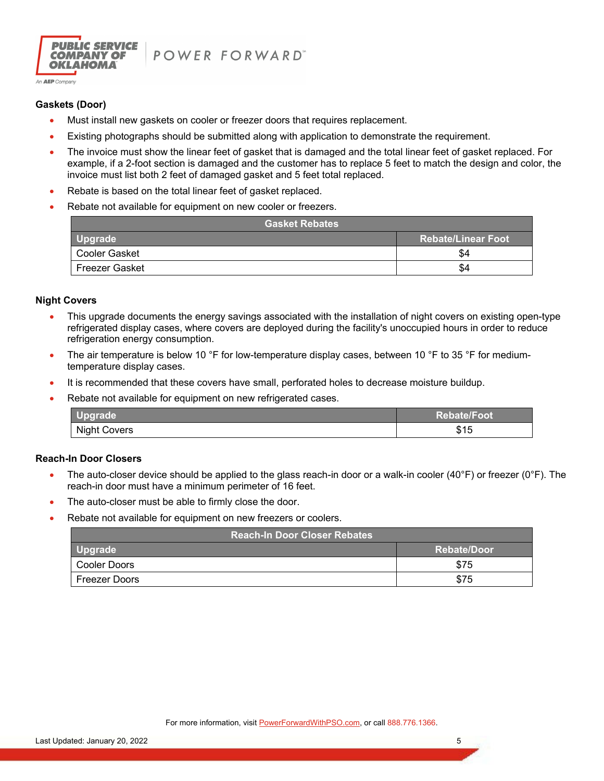

POWER FORWARD"

# **Gaskets (Door)**

- Must install new gaskets on cooler or freezer doors that requires replacement.
- Existing photographs should be submitted along with application to demonstrate the requirement.
- The invoice must show the linear feet of gasket that is damaged and the total linear feet of gasket replaced. For example, if a 2-foot section is damaged and the customer has to replace 5 feet to match the design and color, the invoice must list both 2 feet of damaged gasket and 5 feet total replaced.
- Rebate is based on the total linear feet of gasket replaced.
- Rebate not available for equipment on new cooler or freezers.

| <b>Gasket Rebates</b> |                           |  |
|-----------------------|---------------------------|--|
| <b>Upgrade</b>        | <b>Rebate/Linear Foot</b> |  |
| Cooler Gasket         | \$4                       |  |
| Freezer Gasket        | \$4                       |  |

### **Night Covers**

- This upgrade documents the energy savings associated with the installation of night covers on existing open-type refrigerated display cases, where covers are deployed during the facility's unoccupied hours in order to reduce refrigeration energy consumption.
- The air temperature is below 10 °F for low-temperature display cases, between 10 °F to 35 °F for mediumtemperature display cases.
- It is recommended that these covers have small, perforated holes to decrease moisture buildup.
- Rebate not available for equipment on new refrigerated cases.

| __pgrade __         | /Rebate/Foot            |
|---------------------|-------------------------|
| <b>Night Covers</b> | 64 E<br>຺<br><b>PIQ</b> |

## **Reach-In Door Closers**

- The auto-closer device should be applied to the glass reach-in door or a walk-in cooler (40°F) or freezer (0°F). The reach-in door must have a minimum perimeter of 16 feet.
- The auto-closer must be able to firmly close the door.
- Rebate not available for equipment on new freezers or coolers.

| <b>Reach-In Door Closer Rebates</b> |              |  |
|-------------------------------------|--------------|--|
| Upgrade                             | ⊦Rebate/Door |  |
| Cooler Doors                        | \$75         |  |
| <b>Freezer Doors</b>                | \$75         |  |